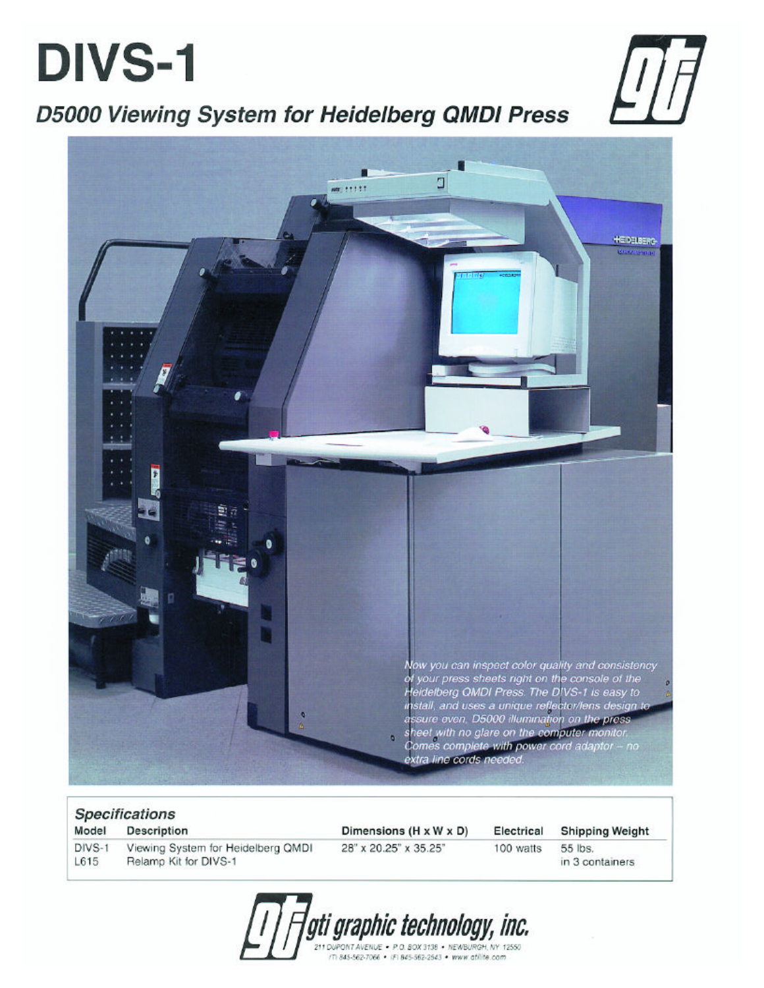# **DIVS-1**



### D5000 Viewing System for Heidelberg QMDI Press



| <b>Specifications</b> |                                                             |                                    |            |                            |  |
|-----------------------|-------------------------------------------------------------|------------------------------------|------------|----------------------------|--|
| Model                 | <b>Description</b>                                          | Dimensions $(H \times W \times D)$ | Electrical | <b>Shipping Weight</b>     |  |
| DIVS-1<br>L615        | Viewing System for Heidelberg QMDI<br>Relamp Kit for DIVS-1 | 28" x 20.25" x 35.25"              | 100 watts  | 55 lbs.<br>in 3 containers |  |